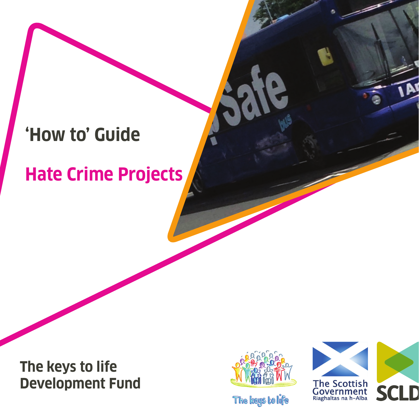# **'How to' Guide**

**Hate Crime Projects**

**The keys to life Development Fund** 



The keys to life

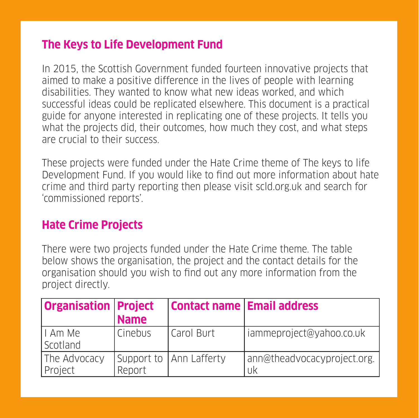### **The Keys to Life Development Fund**

In 2015, the Scottish Government funded fourteen innovative projects that aimed to make a positive difference in the lives of people with learning disabilities. They wanted to know what new ideas worked, and which successful ideas could be replicated elsewhere. This document is a practical guide for anyone interested in replicating one of these projects. It tells you what the projects did, their outcomes, how much they cost, and what steps are crucial to their success.

These projects were funded under the Hate Crime theme of The keys to life Development Fund. If you would like to find out more information about hate crime and third party reporting then please visit scld.org.uk and search for 'commissioned reports'.

## **Hate Crime Projects**

There were two projects funded under the Hate Crime theme. The table below shows the organisation, the project and the contact details for the organisation should you wish to find out any more information from the project directly.

| <b>Organisation   Project</b> | <b>Name</b>    | <b>Contact name   Email address</b> |                                   |
|-------------------------------|----------------|-------------------------------------|-----------------------------------|
| l I Am Me<br>Scotland         | <b>Cinebus</b> | Carol Burt                          | iammeproject@yahoo.co.uk          |
| The Advocacy<br>Project       | Report         | Support to   Ann Lafferty           | ann@theadvocacyproject.org.<br>uk |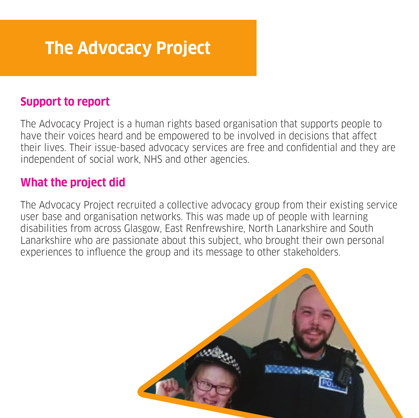## **The Advocacy Project**

#### **Support to report**

The Advocacy Project is a human rights based organisation that supports people to have their voices heard and be empowered to be involved in decisions that affect their lives. Their issue-based advocacy services are free and confidential and they are independent of social work, NHS and other agencies.

## **What the project did**

The Advocacy Project recruited a collective advocacy group from their existing service user base and organisation networks. This was made up of people with learning disabilities from across Glasgow, East Renfrewshire, North Lanarkshire and South Lanarkshire who are passionate about this subject, who brought their own personal experiences to influence the group and its message to other stakeholders.

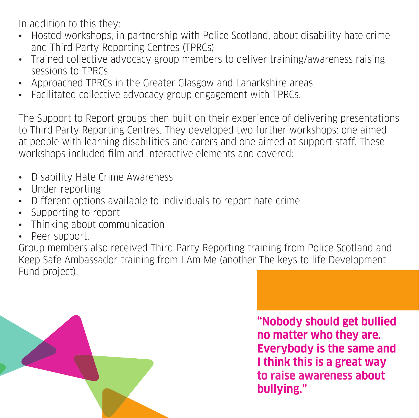In addition to this they:

- Hosted workshops, in partnership with Police Scotland, about disability hate crime and Third Party Reporting Centres (TPRCs)
- Trained collective advocacy group members to deliver training/awareness raising sessions to TPRCs
- Approached TPRCs in the Greater Glasgow and Lanarkshire areas
- Facilitated collective advocacy group engagement with TPRCs.

The Support to Report groups then built on their experience of delivering presentations to Third Party Reporting Centres. They developed two further workshops: one aimed at people with learning disabilities and carers and one aimed at support staff. These workshops included film and interactive elements and covered:

- Disability Hate Crime Awareness
- Under reporting
- Different options available to individuals to report hate crime
- Supporting to report
- Thinking about communication
- Peer support.

Group members also received Third Party Reporting training from Police Scotland and Keep Safe Ambassador training from I Am Me (another The keys to life Development Fund project).

> **"Nobody should get bullied no matter who they are. Everybody is the same and I think this is a great way to raise awareness about bullying."**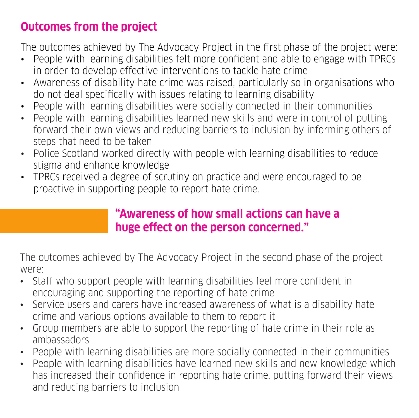## **Outcomes from the project**

The outcomes achieved by The Advocacy Project in the first phase of the project were:

- People with learning disabilities felt more confident and able to engage with TPRCs in order to develop effective interventions to tackle hate crime
- Awareness of disability hate crime was raised, particularly so in organisations who do not deal specifically with issues relating to learning disability
- People with learning disabilities were socially connected in their communities
- People with learning disabilities learned new skills and were in control of putting forward their own views and reducing barriers to inclusion by informing others of steps that need to be taken
- Police Scotland worked directly with people with learning disabilities to reduce stigma and enhance knowledge
- TPRCs received a degree of scrutiny on practice and were encouraged to be proactive in supporting people to report hate crime.

### **"Awareness of how small actions can have a huge effect on the person concerned."**

The outcomes achieved by The Advocacy Project in the second phase of the project were:

- Staff who support people with learning disabilities feel more confident in encouraging and supporting the reporting of hate crime
- Service users and carers have increased awareness of what is a disability hate crime and various options available to them to report it
- Group members are able to support the reporting of hate crime in their role as ambassadors
- People with learning disabilities are more socially connected in their communities
- People with learning disabilities have learned new skills and new knowledge which has increased their confidence in reporting hate crime, putting forward their views and reducing barriers to inclusion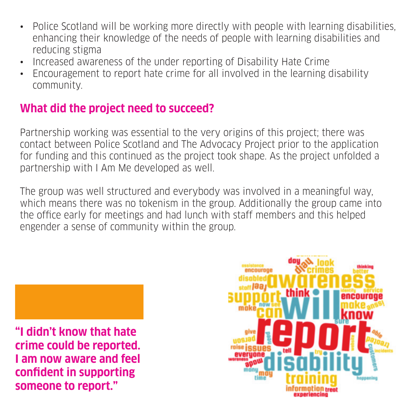- Police Scotland will be working more directly with people with learning disabilities, enhancing their knowledge of the needs of people with learning disabilities and reducing stigma
- Increased awareness of the under reporting of Disability Hate Crime
- Encouragement to report hate crime for all involved in the learning disability community.

## **What did the project need to succeed?**

Partnership working was essential to the very origins of this project; there was contact between Police Scotland and The Advocacy Project prior to the application for funding and this continued as the project took shape. As the project unfolded a partnership with I Am Me developed as well.

The group was well structured and everybody was involved in a meaningful way, which means there was no tokenism in the group. Additionally the group came into the office early for meetings and had lunch with staff members and this helped engender a sense of community within the group.

**"I didn't know that hate crime could be reported. I am now aware and feel confident in supporting someone to report."**

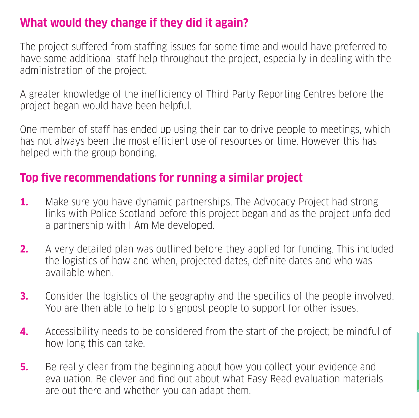## **What would they change if they did it again?**

The project suffered from staffing issues for some time and would have preferred to have some additional staff help throughout the project, especially in dealing with the administration of the project.

A greater knowledge of the inefficiency of Third Party Reporting Centres before the project began would have been helpful.

One member of staff has ended up using their car to drive people to meetings, which has not always been the most efficient use of resources or time. However this has helped with the group bonding.

### **Top five recommendations for running a similar project**

- **1.** Make sure you have dynamic partnerships. The Advocacy Project had strong links with Police Scotland before this project began and as the project unfolded a partnership with I Am Me developed.
- **2.** A very detailed plan was outlined before they applied for funding. This included the logistics of how and when, projected dates, definite dates and who was available when.
- **3.** Consider the logistics of the geography and the specifics of the people involved. You are then able to help to signpost people to support for other issues.
- **4.** Accessibility needs to be considered from the start of the project; be mindful of how long this can take.
- **5.** Be really clear from the beginning about how you collect your evidence and evaluation. Be clever and find out about what Easy Read evaluation materials are out there and whether you can adapt them.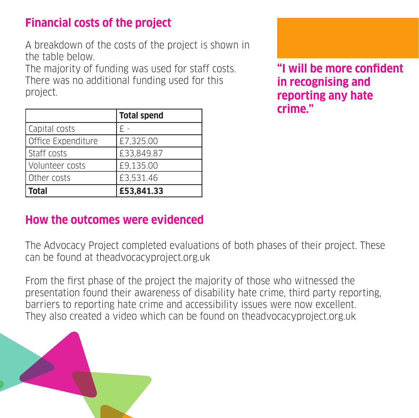## **Financial costs of the project**

A breakdown of the costs of the project is shown in the table below.

The majority of funding was used for staff costs. There was no additional funding used for this project.

|                    | <b>Total spend</b> |
|--------------------|--------------------|
| Capital costs      |                    |
| Office Expenditure | £7,325.00          |
| Staff costs        | £33,849.87         |
| Volunteer costs    | £9,135.00          |
| Other costs        | £3,531.46          |
| Total              | £53,841.33         |

**"I will be more confident in recognising and reporting any hate crime."**

## **How the outcomes were evidenced**

The Advocacy Project completed evaluations of both phases of their project. These can be found at theadvocacyproject.org.uk

From the first phase of the project the majority of those who witnessed the presentation found their awareness of disability hate crime, third party reporting, barriers to reporting hate crime and accessibility issues were now excellent. They also created a video which can be found on theadvocacyproject.org.uk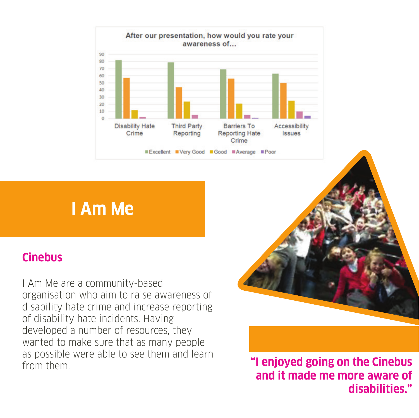



## **Cinebus**

I Am Me are a community-based organisation who aim to raise awareness of disability hate crime and increase reporting of disability hate incidents. Having developed a number of resources, they wanted to make sure that as many people as possible were able to see them and learn from them. **The matter were able to see them and learn <b>"I enjoyed going on the Cinebus** 

**and it made me more aware of disabilities."**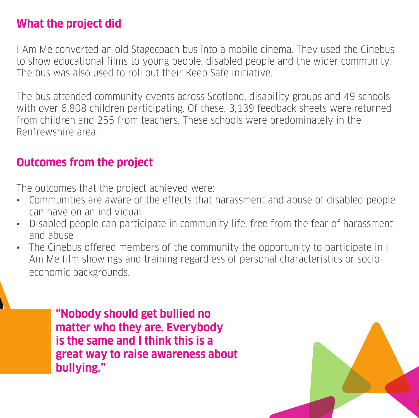## **What the project did**

I Am Me converted an old Stagecoach bus into a mobile cinema. They used the Cinebus to show educational films to young people, disabled people and the wider community. The bus was also used to roll out their Keep Safe initiative.

The bus attended community events across Scotland, disability groups and 49 schools with over 6,808 children participating. Of these, 3,139 feedback sheets were returned from children and 255 from teachers. These schools were predominately in the Renfrewshire area.

### **Outcomes from the project**

The outcomes that the project achieved were:

- Communities are aware of the effects that harassment and abuse of disabled people can have on an individual
- Disabled people can participate in community life, free from the fear of harassment and abuse
- The Cinebus offered members of the community the opportunity to participate in I Am Me film showings and training regardless of personal characteristics or socioeconomic backgrounds.

**"Nobody should get bullied no matter who they are. Everybody is the same and I think this is a great way to raise awareness about bullying."**

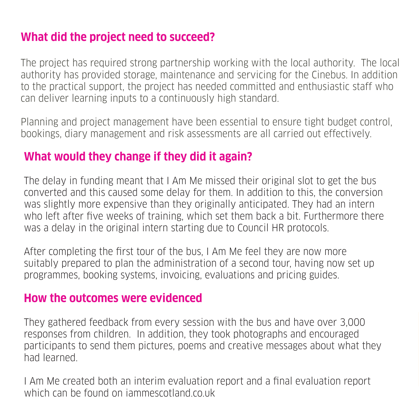## **What did the project need to succeed?**

The project has required strong partnership working with the local authority. The local authority has provided storage, maintenance and servicing for the Cinebus. In addition to the practical support, the project has needed committed and enthusiastic staff who can deliver learning inputs to a continuously high standard.

Planning and project management have been essential to ensure tight budget control, bookings, diary management and risk assessments are all carried out effectively.

## **What would they change if they did it again?**

The delay in funding meant that I Am Me missed their original slot to get the bus converted and this caused some delay for them. In addition to this, the conversion was slightly more expensive than they originally anticipated. They had an intern who left after five weeks of training, which set them back a bit. Furthermore there was a delay in the original intern starting due to Council HR protocols.

After completing the first tour of the bus, I Am Me feel they are now more suitably prepared to plan the administration of a second tour, having now set up programmes, booking systems, invoicing, evaluations and pricing guides.

#### **How the outcomes were evidenced**

They gathered feedback from every session with the bus and have over 3,000 responses from children. In addition, they took photographs and encouraged participants to send them pictures, poems and creative messages about what they had learned.

I Am Me created both an interim evaluation report and a final evaluation report which can be found on jammescotland co.uk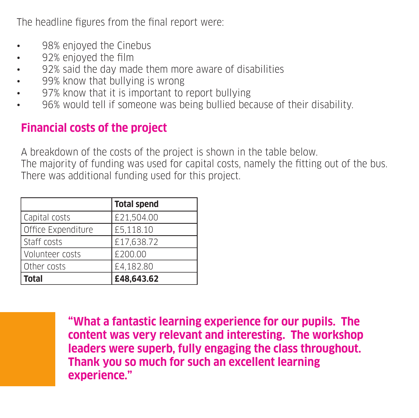The headline figures from the final report were:

- 98% enjoyed the Cinebus
- 92% enjoyed the film
- 92% said the day made them more aware of disabilities
- 99% know that bullying is wrong
- 97% know that it is important to report bullying
- 96% would tell if someone was being bullied because of their disability.

## **Financial costs of the project**

A breakdown of the costs of the project is shown in the table below.

The majority of funding was used for capital costs, namely the fitting out of the bus. There was additional funding used for this project.

|                    | <b>Total spend</b> |
|--------------------|--------------------|
| Capital costs      | £21,504.00         |
| Office Expenditure | £5,118.10          |
| Staff costs        | £17,638.72         |
| Volunteer costs    | £200.00            |
| Other costs        | £4,182.80          |
| <b>Total</b>       | £48,643.62         |

**"What a fantastic learning experience for our pupils. The content was very relevant and interesting. The workshop leaders were superb, fully engaging the class throughout. Thank you so much for such an excellent learning experience."**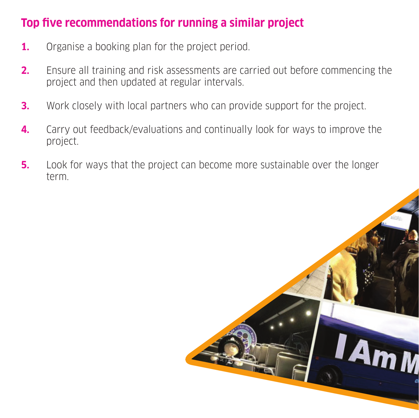## **Top five recommendations for running a similar project**

- **1.** Organise a booking plan for the project period.
- **2.** Ensure all training and risk assessments are carried out before commencing the project and then updated at regular intervals.
- **3.** Work closely with local partners who can provide support for the project.
- **4.** Carry out feedback/evaluations and continually look for ways to improve the project.
- **5.** Look for ways that the project can become more sustainable over the longer term.

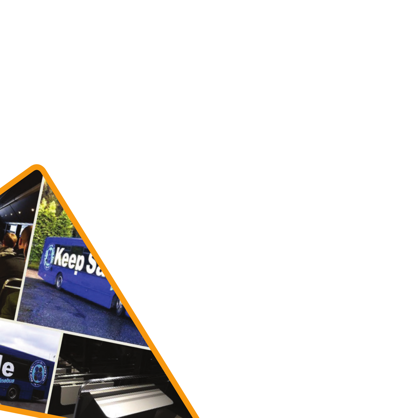